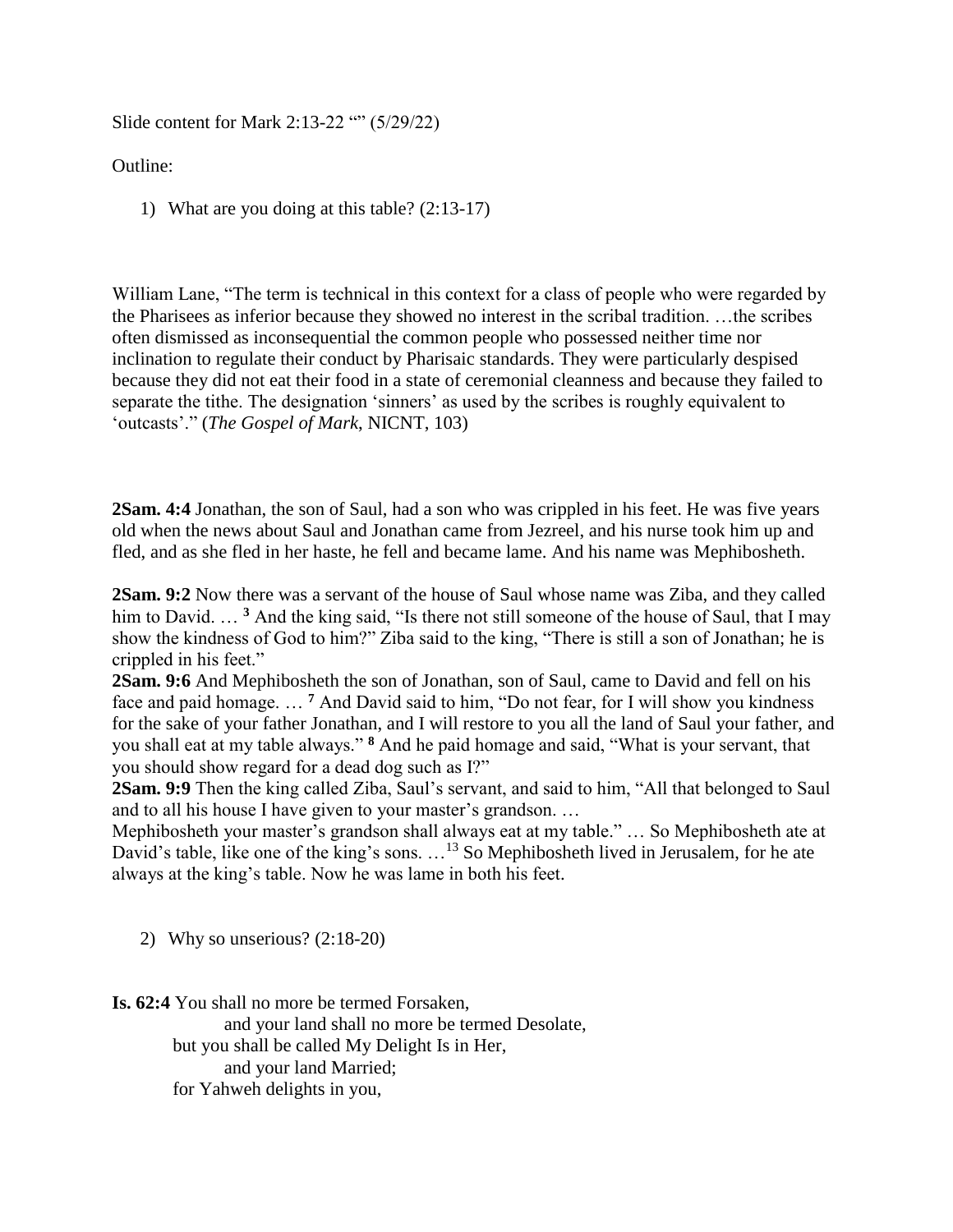Slide content for Mark 2:13-22 (6) (5/29/22)

Outline:

1) What are you doing at this table? (2:13-17)

William Lane, "The term is technical in this context for a class of people who were regarded by the Pharisees as inferior because they showed no interest in the scribal tradition. …the scribes often dismissed as inconsequential the common people who possessed neither time nor inclination to regulate their conduct by Pharisaic standards. They were particularly despised because they did not eat their food in a state of ceremonial cleanness and because they failed to separate the tithe. The designation 'sinners' as used by the scribes is roughly equivalent to 'outcasts'." (*The Gospel of Mark*, NICNT, 103)

**2Sam. 4:4** Jonathan, the son of Saul, had a son who was crippled in his feet. He was five years old when the news about Saul and Jonathan came from Jezreel, and his nurse took him up and fled, and as she fled in her haste, he fell and became lame. And his name was Mephibosheth.

**2Sam. 9:2** Now there was a servant of the house of Saul whose name was Ziba, and they called him to David. ... <sup>3</sup> And the king said, "Is there not still someone of the house of Saul, that I may show the kindness of God to him?" Ziba said to the king, "There is still a son of Jonathan; he is crippled in his feet."

**2Sam. 9:6** And Mephibosheth the son of Jonathan, son of Saul, came to David and fell on his face and paid homage. … **<sup>7</sup>** And David said to him, "Do not fear, for I will show you kindness for the sake of your father Jonathan, and I will restore to you all the land of Saul your father, and you shall eat at my table always." **<sup>8</sup>** And he paid homage and said, "What is your servant, that you should show regard for a dead dog such as I?"

**2Sam. 9:9** Then the king called Ziba, Saul's servant, and said to him, "All that belonged to Saul and to all his house I have given to your master's grandson. …

Mephibosheth your master's grandson shall always eat at my table." … So Mephibosheth ate at David's table, like one of the king's sons. ...<sup>13</sup> So Mephibosheth lived in Jerusalem, for he ate always at the king's table. Now he was lame in both his feet.

2) Why so unserious? (2:18-20)

**Is. 62:4** You shall no more be termed Forsaken,

and your land shall no more be termed Desolate, but you shall be called My Delight Is in Her, and your land Married; for Yahweh delights in you,